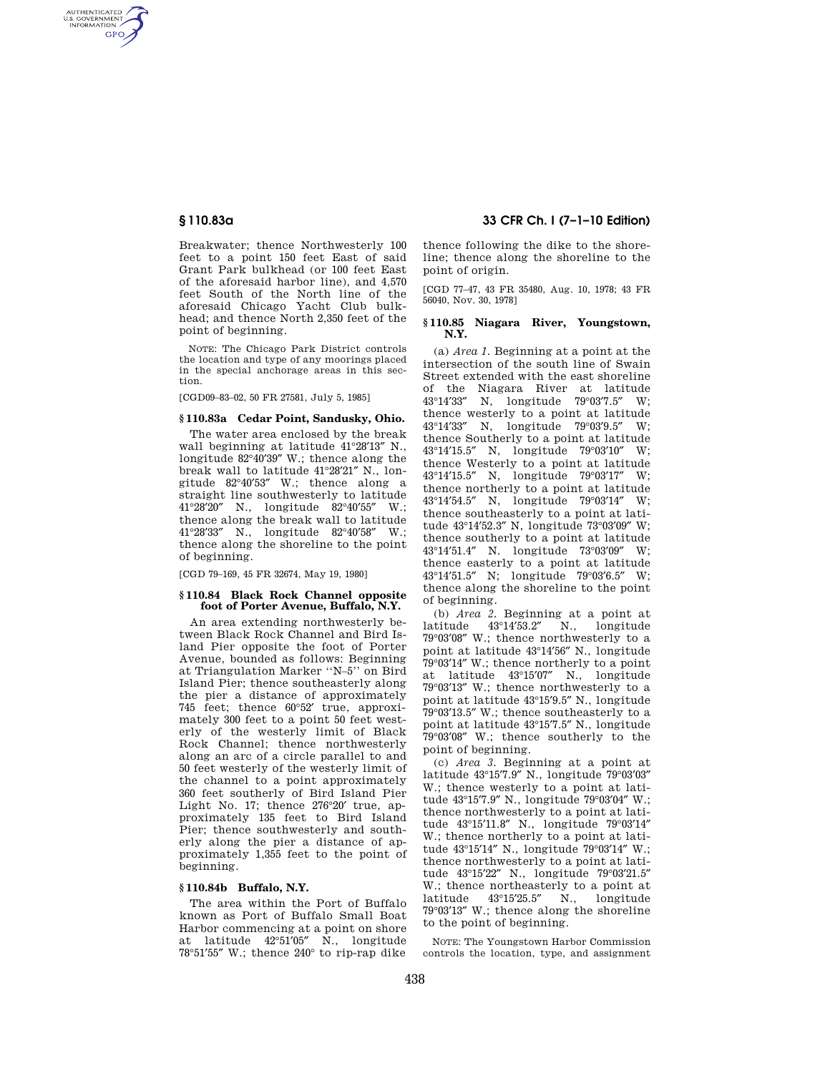AUTHENTICATED<br>U.S. GOVERNMENT<br>INFORMATION **GPO** 

> Breakwater; thence Northwesterly 100 feet to a point 150 feet East of said Grant Park bulkhead (or 100 feet East of the aforesaid harbor line), and 4,570 feet South of the North line of the aforesaid Chicago Yacht Club bulkhead; and thence North 2,350 feet of the point of beginning.

> NOTE: The Chicago Park District controls the location and type of any moorings placed in the special anchorage areas in this section.

[CGD09–83–02, 50 FR 27581, July 5, 1985]

## **§ 110.83a Cedar Point, Sandusky, Ohio.**

The water area enclosed by the break wall beginning at latitude 41°28′13″ N., longitude 82°40′39″ W.; thence along the break wall to latitude 41°28′21″ N., longitude 82°40′53″ W.; thence along a straight line southwesterly to latitude 41°28′20″ N., longitude 82°40′55″ W.; thence along the break wall to latitude 41°28′33″ N., longitude 82°40′58″ W.; thence along the shoreline to the point of beginning.

[CGD 79–169, 45 FR 32674, May 19, 1980]

#### **§ 110.84 Black Rock Channel opposite foot of Porter Avenue, Buffalo, N.Y.**

An area extending northwesterly between Black Rock Channel and Bird Island Pier opposite the foot of Porter Avenue, bounded as follows: Beginning at Triangulation Marker ''N–5'' on Bird Island Pier; thence southeasterly along the pier a distance of approximately 745 feet; thence 60°52′ true, approximately 300 feet to a point 50 feet westerly of the westerly limit of Black Rock Channel; thence northwesterly along an arc of a circle parallel to and 50 feet westerly of the westerly limit of the channel to a point approximately 360 feet southerly of Bird Island Pier Light No. 17; thence 276°20′ true, approximately 135 feet to Bird Island Pier; thence southwesterly and southerly along the pier a distance of approximately 1,355 feet to the point of beginning.

## **§ 110.84b Buffalo, N.Y.**

The area within the Port of Buffalo known as Port of Buffalo Small Boat Harbor commencing at a point on shore at latitude 42°51′05″ N., longitude 78°51′55″ W.; thence 240° to rip-rap dike

# **§ 110.83a 33 CFR Ch. I (7–1–10 Edition)**

thence following the dike to the shoreline; thence along the shoreline to the point of origin.

[CGD 77–47, 43 FR 35480, Aug. 10, 1978; 43 FR 56040, Nov. 30, 1978]

#### **§ 110.85 Niagara River, Youngstown, N.Y.**

(a) *Area 1.* Beginning at a point at the intersection of the south line of Swain Street extended with the east shoreline of the Niagara River at latitude  $43^{\circ}14'33''$  N, longitude  $79^{\circ}03'7.5''$  W; N, longitude 79°03'7.5" W; thence westerly to a point at latitude 43°14′33″ N, longitude 79°03′9.5″ W; thence Southerly to a point at latitude 43°14′15.5″ N, longitude 79°03′10″ W; thence Westerly to a point at latitude 43°14′15.5″ N, longitude 79°03′17″ W; thence northerly to a point at latitude 43°14′54.5″ N, longitude 79°03′14″ W; thence southeasterly to a point at latitude 43°14′52.3″ N, longitude 73°03′09″ W; thence southerly to a point at latitude 43°14′51.4″ N. longitude 73°03′09″ W; thence easterly to a point at latitude 43°14′51.5″ N; longitude 79°03′6.5″ W; thence along the shoreline to the point of beginning.

(b) *Area 2.* Beginning at a point at latitude 43°14′53.2″ N., longitude 79°03′08″ W.; thence northwesterly to a point at latitude 43°14′56″ N., longitude 79°03′14″ W.; thence northerly to a point at latitude 43°15′07″ N., longitude 79°03′13″ W.; thence northwesterly to a point at latitude 43°15′9.5″ N., longitude 79°03′13.5″ W.; thence southeasterly to a point at latitude 43°15′7.5″ N., longitude 79°03′08″ W.; thence southerly to the point of beginning.

(c) *Area 3.* Beginning at a point at latitude 43°15′7.9″ N., longitude 79°03′03″ W.; thence westerly to a point at latitude 43°15′7.9″ N., longitude 79°03′04″ W.; thence northwesterly to a point at latitude 43°15′11.8″ N., longitude 79°03′14″ W.; thence northerly to a point at latitude 43°15′14″ N., longitude 79°03′14″ W.; thence northwesterly to a point at latitude 43°15′22″ N., longitude 79°03′21.5″ W.; thence northeasterly to a point at latitude 43°15′25.5″ N., longitude 79°03′13″ W.; thence along the shoreline to the point of beginning.

NOTE: The Youngstown Harbor Commission controls the location, type, and assignment